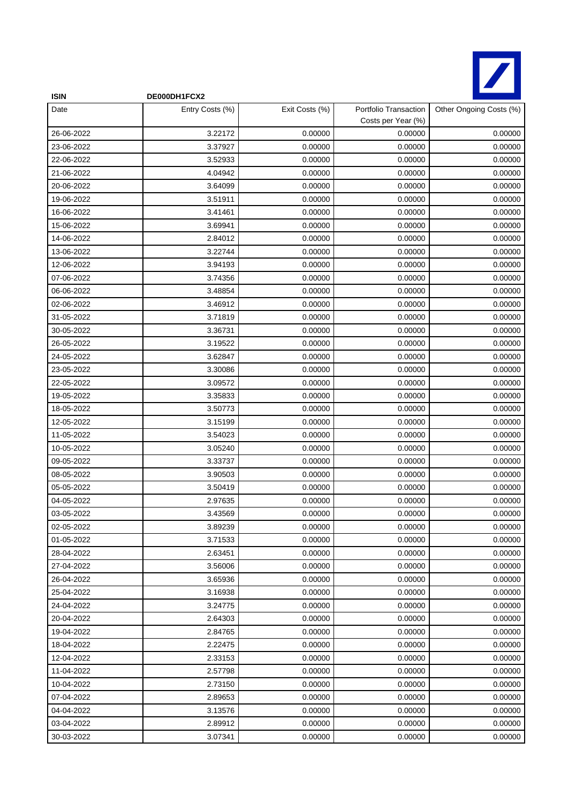

| <b>ISIN</b> | DE000DH1FCX2    |                |                                             |                         |
|-------------|-----------------|----------------|---------------------------------------------|-------------------------|
| Date        | Entry Costs (%) | Exit Costs (%) | Portfolio Transaction<br>Costs per Year (%) | Other Ongoing Costs (%) |
| 26-06-2022  | 3.22172         | 0.00000        | 0.00000                                     | 0.00000                 |
| 23-06-2022  | 3.37927         | 0.00000        | 0.00000                                     | 0.00000                 |
| 22-06-2022  | 3.52933         | 0.00000        | 0.00000                                     | 0.00000                 |
| 21-06-2022  | 4.04942         | 0.00000        | 0.00000                                     | 0.00000                 |
| 20-06-2022  | 3.64099         | 0.00000        | 0.00000                                     | 0.00000                 |
| 19-06-2022  | 3.51911         | 0.00000        | 0.00000                                     | 0.00000                 |
| 16-06-2022  | 3.41461         | 0.00000        | 0.00000                                     | 0.00000                 |
| 15-06-2022  | 3.69941         | 0.00000        | 0.00000                                     | 0.00000                 |
| 14-06-2022  | 2.84012         | 0.00000        | 0.00000                                     | 0.00000                 |
| 13-06-2022  | 3.22744         | 0.00000        | 0.00000                                     | 0.00000                 |
| 12-06-2022  | 3.94193         | 0.00000        | 0.00000                                     | 0.00000                 |
| 07-06-2022  | 3.74356         | 0.00000        | 0.00000                                     | 0.00000                 |
| 06-06-2022  | 3.48854         | 0.00000        | 0.00000                                     | 0.00000                 |
| 02-06-2022  | 3.46912         | 0.00000        | 0.00000                                     | 0.00000                 |
| 31-05-2022  | 3.71819         | 0.00000        | 0.00000                                     | 0.00000                 |
| 30-05-2022  | 3.36731         | 0.00000        | 0.00000                                     | 0.00000                 |
| 26-05-2022  | 3.19522         | 0.00000        | 0.00000                                     | 0.00000                 |
| 24-05-2022  | 3.62847         | 0.00000        | 0.00000                                     | 0.00000                 |
| 23-05-2022  | 3.30086         | 0.00000        | 0.00000                                     | 0.00000                 |
| 22-05-2022  | 3.09572         | 0.00000        | 0.00000                                     | 0.00000                 |
| 19-05-2022  | 3.35833         | 0.00000        | 0.00000                                     | 0.00000                 |
| 18-05-2022  | 3.50773         | 0.00000        | 0.00000                                     | 0.00000                 |
| 12-05-2022  | 3.15199         | 0.00000        | 0.00000                                     | 0.00000                 |
| 11-05-2022  | 3.54023         | 0.00000        | 0.00000                                     | 0.00000                 |
| 10-05-2022  | 3.05240         | 0.00000        | 0.00000                                     | 0.00000                 |
| 09-05-2022  | 3.33737         | 0.00000        | 0.00000                                     | 0.00000                 |
| 08-05-2022  | 3.90503         | 0.00000        | 0.00000                                     | 0.00000                 |
| 05-05-2022  | 3.50419         | 0.00000        | 0.00000                                     | 0.00000                 |
| 04-05-2022  | 2.97635         | 0.00000        | 0.00000                                     | 0.00000                 |
| 03-05-2022  | 3.43569         | 0.00000        | 0.00000                                     | 0.00000                 |
| 02-05-2022  | 3.89239         | 0.00000        | 0.00000                                     | 0.00000                 |
| 01-05-2022  | 3.71533         | 0.00000        | 0.00000                                     | 0.00000                 |
| 28-04-2022  | 2.63451         | 0.00000        | 0.00000                                     | 0.00000                 |
| 27-04-2022  | 3.56006         | 0.00000        | 0.00000                                     | 0.00000                 |
| 26-04-2022  | 3.65936         | 0.00000        | 0.00000                                     | 0.00000                 |
| 25-04-2022  | 3.16938         | 0.00000        | 0.00000                                     | 0.00000                 |
| 24-04-2022  | 3.24775         | 0.00000        | 0.00000                                     | 0.00000                 |
| 20-04-2022  | 2.64303         | 0.00000        | 0.00000                                     | 0.00000                 |
| 19-04-2022  | 2.84765         | 0.00000        | 0.00000                                     | 0.00000                 |
| 18-04-2022  | 2.22475         | 0.00000        | 0.00000                                     | 0.00000                 |
| 12-04-2022  | 2.33153         | 0.00000        | 0.00000                                     | 0.00000                 |
| 11-04-2022  | 2.57798         | 0.00000        | 0.00000                                     | 0.00000                 |
| 10-04-2022  | 2.73150         | 0.00000        | 0.00000                                     | 0.00000                 |
| 07-04-2022  | 2.89653         | 0.00000        | 0.00000                                     | 0.00000                 |
| 04-04-2022  | 3.13576         | 0.00000        | 0.00000                                     | 0.00000                 |
| 03-04-2022  | 2.89912         | 0.00000        | 0.00000                                     | 0.00000                 |
| 30-03-2022  | 3.07341         | 0.00000        | 0.00000                                     | 0.00000                 |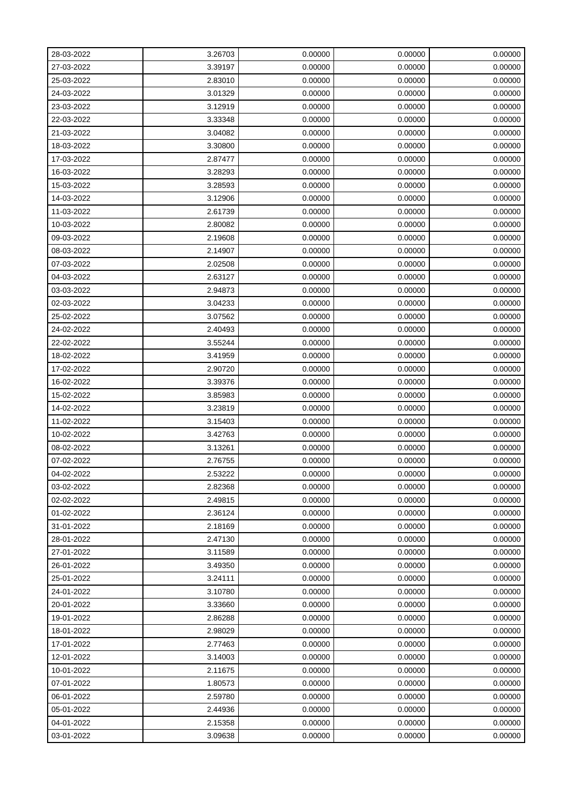| 28-03-2022 | 3.26703 | 0.00000 | 0.00000 | 0.00000 |
|------------|---------|---------|---------|---------|
| 27-03-2022 | 3.39197 | 0.00000 | 0.00000 | 0.00000 |
| 25-03-2022 | 2.83010 | 0.00000 | 0.00000 | 0.00000 |
| 24-03-2022 | 3.01329 | 0.00000 | 0.00000 | 0.00000 |
| 23-03-2022 | 3.12919 | 0.00000 | 0.00000 | 0.00000 |
| 22-03-2022 | 3.33348 | 0.00000 | 0.00000 | 0.00000 |
| 21-03-2022 | 3.04082 | 0.00000 | 0.00000 | 0.00000 |
| 18-03-2022 | 3.30800 | 0.00000 | 0.00000 | 0.00000 |
| 17-03-2022 | 2.87477 | 0.00000 | 0.00000 | 0.00000 |
| 16-03-2022 | 3.28293 | 0.00000 | 0.00000 | 0.00000 |
| 15-03-2022 | 3.28593 | 0.00000 | 0.00000 | 0.00000 |
| 14-03-2022 | 3.12906 | 0.00000 | 0.00000 | 0.00000 |
| 11-03-2022 | 2.61739 | 0.00000 | 0.00000 | 0.00000 |
| 10-03-2022 | 2.80082 | 0.00000 | 0.00000 | 0.00000 |
| 09-03-2022 | 2.19608 | 0.00000 | 0.00000 | 0.00000 |
| 08-03-2022 | 2.14907 | 0.00000 | 0.00000 | 0.00000 |
| 07-03-2022 | 2.02508 | 0.00000 | 0.00000 | 0.00000 |
| 04-03-2022 | 2.63127 | 0.00000 | 0.00000 | 0.00000 |
| 03-03-2022 | 2.94873 | 0.00000 | 0.00000 | 0.00000 |
| 02-03-2022 | 3.04233 | 0.00000 | 0.00000 | 0.00000 |
| 25-02-2022 | 3.07562 | 0.00000 | 0.00000 | 0.00000 |
| 24-02-2022 | 2.40493 | 0.00000 | 0.00000 | 0.00000 |
| 22-02-2022 | 3.55244 | 0.00000 | 0.00000 | 0.00000 |
| 18-02-2022 | 3.41959 | 0.00000 | 0.00000 | 0.00000 |
| 17-02-2022 | 2.90720 | 0.00000 | 0.00000 | 0.00000 |
| 16-02-2022 | 3.39376 | 0.00000 | 0.00000 | 0.00000 |
| 15-02-2022 | 3.85983 | 0.00000 | 0.00000 | 0.00000 |
| 14-02-2022 | 3.23819 | 0.00000 | 0.00000 | 0.00000 |
| 11-02-2022 | 3.15403 | 0.00000 | 0.00000 | 0.00000 |
| 10-02-2022 | 3.42763 | 0.00000 | 0.00000 | 0.00000 |
| 08-02-2022 | 3.13261 | 0.00000 | 0.00000 | 0.00000 |
| 07-02-2022 | 2.76755 | 0.00000 | 0.00000 | 0.00000 |
| 04-02-2022 | 2.53222 | 0.00000 | 0.00000 | 0.00000 |
| 03-02-2022 | 2.82368 | 0.00000 | 0.00000 | 0.00000 |
| 02-02-2022 | 2.49815 | 0.00000 | 0.00000 | 0.00000 |
| 01-02-2022 | 2.36124 | 0.00000 | 0.00000 | 0.00000 |
| 31-01-2022 | 2.18169 | 0.00000 | 0.00000 | 0.00000 |
| 28-01-2022 | 2.47130 | 0.00000 | 0.00000 | 0.00000 |
| 27-01-2022 | 3.11589 | 0.00000 | 0.00000 | 0.00000 |
| 26-01-2022 | 3.49350 | 0.00000 | 0.00000 | 0.00000 |
| 25-01-2022 | 3.24111 | 0.00000 | 0.00000 | 0.00000 |
| 24-01-2022 | 3.10780 | 0.00000 | 0.00000 | 0.00000 |
| 20-01-2022 | 3.33660 | 0.00000 | 0.00000 | 0.00000 |
| 19-01-2022 | 2.86288 | 0.00000 | 0.00000 | 0.00000 |
| 18-01-2022 | 2.98029 | 0.00000 | 0.00000 | 0.00000 |
| 17-01-2022 | 2.77463 | 0.00000 | 0.00000 | 0.00000 |
| 12-01-2022 | 3.14003 | 0.00000 | 0.00000 | 0.00000 |
| 10-01-2022 | 2.11675 | 0.00000 | 0.00000 | 0.00000 |
| 07-01-2022 | 1.80573 | 0.00000 | 0.00000 | 0.00000 |
| 06-01-2022 | 2.59780 | 0.00000 | 0.00000 | 0.00000 |
| 05-01-2022 | 2.44936 | 0.00000 | 0.00000 | 0.00000 |
| 04-01-2022 | 2.15358 | 0.00000 | 0.00000 | 0.00000 |
| 03-01-2022 | 3.09638 | 0.00000 | 0.00000 | 0.00000 |